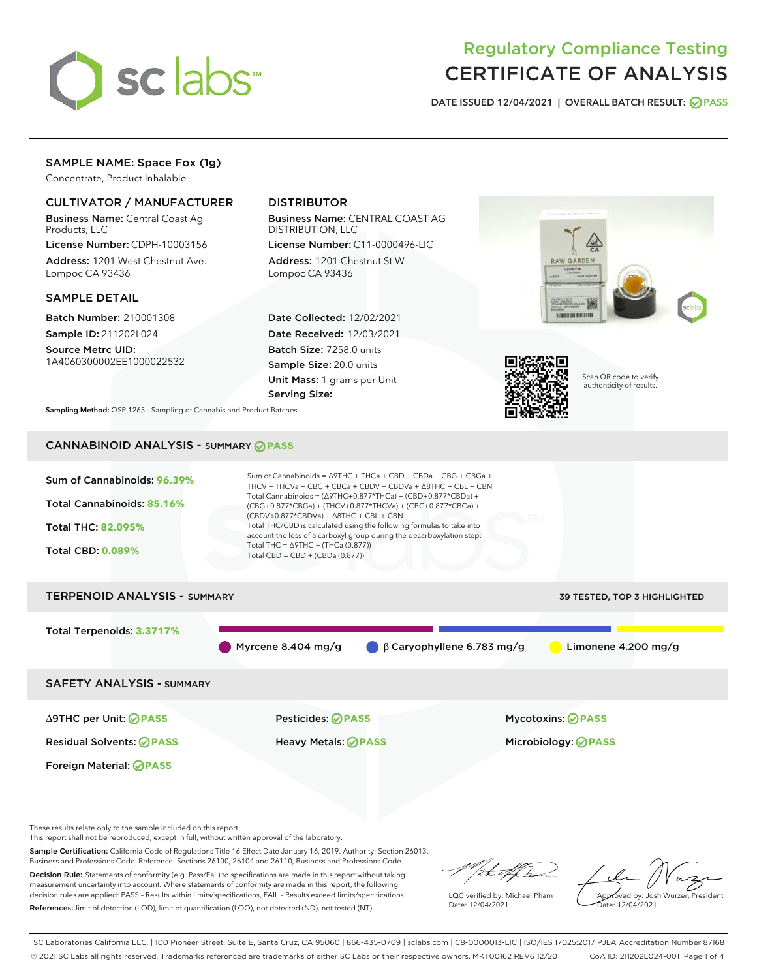

# Regulatory Compliance Testing CERTIFICATE OF ANALYSIS

DATE ISSUED 12/04/2021 | OVERALL BATCH RESULT: @ PASS

## SAMPLE NAME: Space Fox (1g)

Concentrate, Product Inhalable

## CULTIVATOR / MANUFACTURER

Business Name: Central Coast Ag Products, LLC

License Number: CDPH-10003156 Address: 1201 West Chestnut Ave. Lompoc CA 93436

#### SAMPLE DETAIL

Batch Number: 210001308 Sample ID: 211202L024

Source Metrc UID: 1A4060300002EE1000022532

## DISTRIBUTOR

Business Name: CENTRAL COAST AG DISTRIBUTION, LLC License Number: C11-0000496-LIC

Address: 1201 Chestnut St W Lompoc CA 93436

Date Collected: 12/02/2021 Date Received: 12/03/2021 Batch Size: 7258.0 units Sample Size: 20.0 units Unit Mass: 1 grams per Unit Serving Size:





Scan QR code to verify authenticity of results.

Sampling Method: QSP 1265 - Sampling of Cannabis and Product Batches

# CANNABINOID ANALYSIS - SUMMARY **PASS**



Total Terpenoids: **3.3717%** Myrcene 8.404 mg/g β Caryophyllene 6.783 mg/g Limonene 4.200 mg/g SAFETY ANALYSIS - SUMMARY

Foreign Material: **PASS**

Residual Solvents: **PASS** Heavy Metals: **PASS** Microbiology: **PASS**

∆9THC per Unit: **PASS** Pesticides: **PASS** Mycotoxins: **PASS**

These results relate only to the sample included on this report.

This report shall not be reproduced, except in full, without written approval of the laboratory.

Sample Certification: California Code of Regulations Title 16 Effect Date January 16, 2019. Authority: Section 26013, Business and Professions Code. Reference: Sections 26100, 26104 and 26110, Business and Professions Code.

Decision Rule: Statements of conformity (e.g. Pass/Fail) to specifications are made in this report without taking measurement uncertainty into account. Where statements of conformity are made in this report, the following decision rules are applied: PASS – Results within limits/specifications, FAIL – Results exceed limits/specifications. References: limit of detection (LOD), limit of quantification (LOQ), not detected (ND), not tested (NT)

that f(ha

LQC verified by: Michael Pham Date: 12/04/2021

Approved by: Josh Wurzer, President ate: 12/04/2021

SC Laboratories California LLC. | 100 Pioneer Street, Suite E, Santa Cruz, CA 95060 | 866-435-0709 | sclabs.com | C8-0000013-LIC | ISO/IES 17025:2017 PJLA Accreditation Number 87168 © 2021 SC Labs all rights reserved. Trademarks referenced are trademarks of either SC Labs or their respective owners. MKT00162 REV6 12/20 CoA ID: 211202L024-001 Page 1 of 4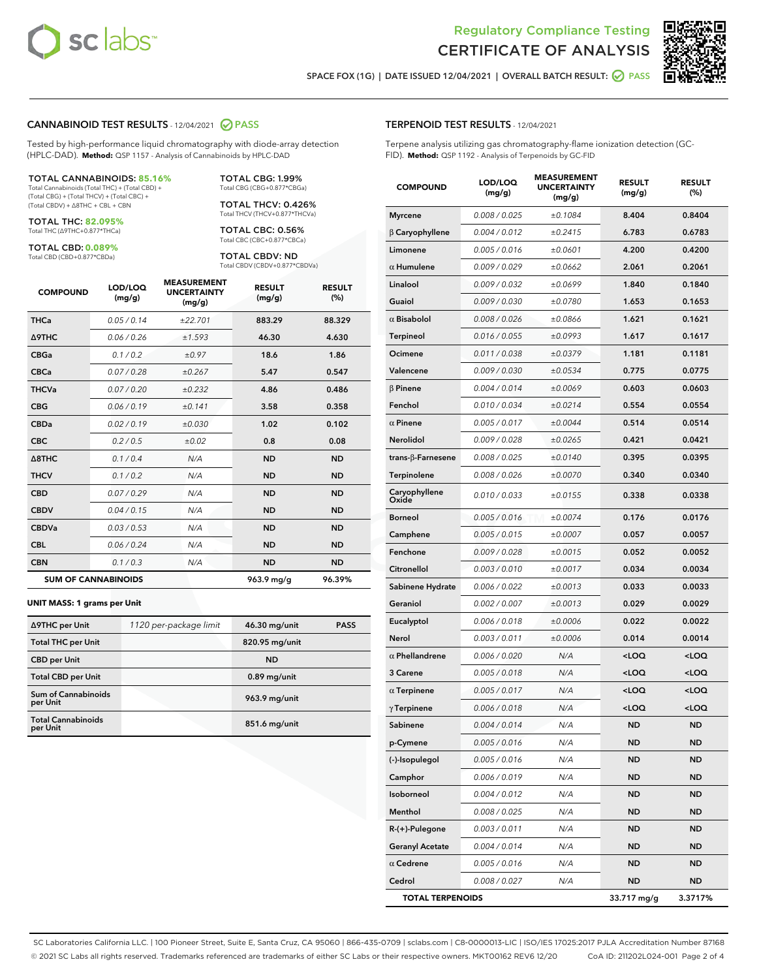



SPACE FOX (1G) | DATE ISSUED 12/04/2021 | OVERALL BATCH RESULT:  $\bigcirc$  PASS

#### CANNABINOID TEST RESULTS - 12/04/2021 2 PASS

Tested by high-performance liquid chromatography with diode-array detection (HPLC-DAD). **Method:** QSP 1157 - Analysis of Cannabinoids by HPLC-DAD

#### TOTAL CANNABINOIDS: **85.16%**

Total Cannabinoids (Total THC) + (Total CBD) + (Total CBG) + (Total THCV) + (Total CBC) + (Total CBDV) + ∆8THC + CBL + CBN

TOTAL THC: **82.095%** Total THC (∆9THC+0.877\*THCa)

TOTAL CBD: **0.089%**

Total CBD (CBD+0.877\*CBDa)

TOTAL CBG: 1.99% Total CBG (CBG+0.877\*CBGa)

TOTAL THCV: 0.426% Total THCV (THCV+0.877\*THCVa)

TOTAL CBC: 0.56% Total CBC (CBC+0.877\*CBCa)

TOTAL CBDV: ND Total CBDV (CBDV+0.877\*CBDVa)

| <b>COMPOUND</b>            | LOD/LOQ<br>(mg/g) | <b>MEASUREMENT</b><br><b>UNCERTAINTY</b><br>(mg/g) | <b>RESULT</b><br>(mg/g) | <b>RESULT</b><br>(%) |
|----------------------------|-------------------|----------------------------------------------------|-------------------------|----------------------|
| <b>THCa</b>                | 0.05/0.14         | ±22.701                                            | 883.29                  | 88.329               |
| <b>A9THC</b>               | 0.06 / 0.26       | ±1.593                                             | 46.30                   | 4.630                |
| <b>CBGa</b>                | 0.1/0.2           | ±0.97                                              | 18.6                    | 1.86                 |
| <b>CBCa</b>                | 0.07/0.28         | ±0.267                                             | 5.47                    | 0.547                |
| <b>THCVa</b>               | 0.07 / 0.20       | ±0.232                                             | 4.86                    | 0.486                |
| <b>CBG</b>                 | 0.06/0.19         | ±0.141                                             | 3.58                    | 0.358                |
| <b>CBDa</b>                | 0.02/0.19         | ±0.030                                             | 1.02                    | 0.102                |
| <b>CBC</b>                 | 0.2 / 0.5         | ±0.02                                              | 0.8                     | 0.08                 |
| A8THC                      | 0.1 / 0.4         | N/A                                                | <b>ND</b>               | <b>ND</b>            |
| <b>THCV</b>                | 0.1/0.2           | N/A                                                | <b>ND</b>               | <b>ND</b>            |
| <b>CBD</b>                 | 0.07/0.29         | N/A                                                | <b>ND</b>               | <b>ND</b>            |
| <b>CBDV</b>                | 0.04 / 0.15       | N/A                                                | <b>ND</b>               | <b>ND</b>            |
| <b>CBDVa</b>               | 0.03/0.53         | N/A                                                | <b>ND</b>               | <b>ND</b>            |
| <b>CBL</b>                 | 0.06 / 0.24       | N/A                                                | <b>ND</b>               | <b>ND</b>            |
| <b>CBN</b>                 | 0.1/0.3           | N/A                                                | <b>ND</b>               | <b>ND</b>            |
| <b>SUM OF CANNABINOIDS</b> |                   |                                                    | 963.9 mg/g              | 96.39%               |

#### **UNIT MASS: 1 grams per Unit**

| ∆9THC per Unit                        | 1120 per-package limit | 46.30 mg/unit   | <b>PASS</b> |
|---------------------------------------|------------------------|-----------------|-------------|
| <b>Total THC per Unit</b>             |                        | 820.95 mg/unit  |             |
| <b>CBD</b> per Unit                   |                        | <b>ND</b>       |             |
| <b>Total CBD per Unit</b>             |                        | $0.89$ mg/unit  |             |
| Sum of Cannabinoids<br>per Unit       |                        | 963.9 mg/unit   |             |
| <b>Total Cannabinoids</b><br>per Unit |                        | $851.6$ mg/unit |             |

## TERPENOID TEST RESULTS - 12/04/2021

Terpene analysis utilizing gas chromatography-flame ionization detection (GC-FID). **Method:** QSP 1192 - Analysis of Terpenoids by GC-FID

| <b>COMPOUND</b>         | LOD/LOQ<br>(mg/g) | <b>MEASUREMENT</b><br><b>UNCERTAINTY</b><br>(mg/g) | <b>RESULT</b><br>(mg/g)                          | <b>RESULT</b><br>(%) |
|-------------------------|-------------------|----------------------------------------------------|--------------------------------------------------|----------------------|
| <b>Myrcene</b>          | 0.008 / 0.025     | ±0.1084                                            | 8.404                                            | 0.8404               |
| $\beta$ Caryophyllene   | 0.004 / 0.012     | ±0.2415                                            | 6.783                                            | 0.6783               |
| Limonene                | 0.005 / 0.016     | ±0.0601                                            | 4.200                                            | 0.4200               |
| $\alpha$ Humulene       | 0.009/0.029       | ±0.0662                                            | 2.061                                            | 0.2061               |
| Linalool                | 0.009 / 0.032     | ±0.0699                                            | 1.840                                            | 0.1840               |
| Guaiol                  | 0.009 / 0.030     | ±0.0780                                            | 1.653                                            | 0.1653               |
| $\alpha$ Bisabolol      | 0.008 / 0.026     | ±0.0866                                            | 1.621                                            | 0.1621               |
| <b>Terpineol</b>        | 0.016 / 0.055     | ±0.0993                                            | 1.617                                            | 0.1617               |
| Ocimene                 | 0.011 / 0.038     | ±0.0379                                            | 1.181                                            | 0.1181               |
| Valencene               | 0.009 / 0.030     | ±0.0534                                            | 0.775                                            | 0.0775               |
| $\beta$ Pinene          | 0.004 / 0.014     | ±0.0069                                            | 0.603                                            | 0.0603               |
| Fenchol                 | 0.010 / 0.034     | ±0.0214                                            | 0.554                                            | 0.0554               |
| $\alpha$ Pinene         | 0.005 / 0.017     | ±0.0044                                            | 0.514                                            | 0.0514               |
| Nerolidol               | 0.009 / 0.028     | ±0.0265                                            | 0.421                                            | 0.0421               |
| trans-β-Farnesene       | 0.008 / 0.025     | ±0.0140                                            | 0.395                                            | 0.0395               |
| Terpinolene             | 0.008 / 0.026     | ±0.0070                                            | 0.340                                            | 0.0340               |
| Caryophyllene<br>Oxide  | 0.010 / 0.033     | ±0.0155                                            | 0.338                                            | 0.0338               |
| <b>Borneol</b>          | 0.005 / 0.016     | ±0.0074                                            | 0.176                                            | 0.0176               |
| Camphene                | 0.005 / 0.015     | ±0.0007                                            | 0.057                                            | 0.0057               |
| Fenchone                | 0.009 / 0.028     | ±0.0015                                            | 0.052                                            | 0.0052               |
| Citronellol             | 0.003 / 0.010     | ±0.0017                                            | 0.034                                            | 0.0034               |
| Sabinene Hydrate        | 0.006 / 0.022     | ±0.0013                                            | 0.033                                            | 0.0033               |
| Geraniol                | 0.002 / 0.007     | ±0.0013                                            | 0.029                                            | 0.0029               |
| Eucalyptol              | 0.006 / 0.018     | ±0.0006                                            | 0.022                                            | 0.0022               |
| Nerol                   | 0.003 / 0.011     | ±0.0006                                            | 0.014                                            | 0.0014               |
| $\alpha$ Phellandrene   | 0.006 / 0.020     | N/A                                                | <loq< th=""><th><loq< th=""></loq<></th></loq<>  | <loq< th=""></loq<>  |
| 3 Carene                | 0.005 / 0.018     | N/A                                                | <loq< th=""><th><math>&lt;</math>LOQ</th></loq<> | $<$ LOQ              |
| $\alpha$ Terpinene      | 0.005 / 0.017     | N/A                                                | <loq< th=""><th><loq< th=""></loq<></th></loq<>  | <loq< th=""></loq<>  |
| $\gamma$ Terpinene      | 0.006 / 0.018     | N/A                                                | <loq< th=""><th><loq< th=""></loq<></th></loq<>  | <loq< th=""></loq<>  |
| Sabinene                | 0.004 / 0.014     | N/A                                                | <b>ND</b>                                        | ND                   |
| p-Cymene                | 0.005 / 0.016     | N/A                                                | ND                                               | ND                   |
| (-)-Isopulegol          | 0.005 / 0.016     | N/A                                                | <b>ND</b>                                        | <b>ND</b>            |
| Camphor                 | 0.006 / 0.019     | N/A                                                | <b>ND</b>                                        | <b>ND</b>            |
| Isoborneol              | 0.004 / 0.012     | N/A                                                | ND                                               | ND                   |
| Menthol                 | 0.008 / 0.025     | N/A                                                | <b>ND</b>                                        | ND                   |
| R-(+)-Pulegone          | 0.003 / 0.011     | N/A                                                | <b>ND</b>                                        | ND                   |
| <b>Geranyl Acetate</b>  | 0.004 / 0.014     | N/A                                                | <b>ND</b>                                        | <b>ND</b>            |
| $\alpha$ Cedrene        | 0.005 / 0.016     | N/A                                                | <b>ND</b>                                        | <b>ND</b>            |
| Cedrol                  | 0.008 / 0.027     | N/A                                                | <b>ND</b>                                        | ND                   |
| <b>TOTAL TERPENOIDS</b> |                   |                                                    | 33.717 mg/g                                      | 3.3717%              |

SC Laboratories California LLC. | 100 Pioneer Street, Suite E, Santa Cruz, CA 95060 | 866-435-0709 | sclabs.com | C8-0000013-LIC | ISO/IES 17025:2017 PJLA Accreditation Number 87168 © 2021 SC Labs all rights reserved. Trademarks referenced are trademarks of either SC Labs or their respective owners. MKT00162 REV6 12/20 CoA ID: 211202L024-001 Page 2 of 4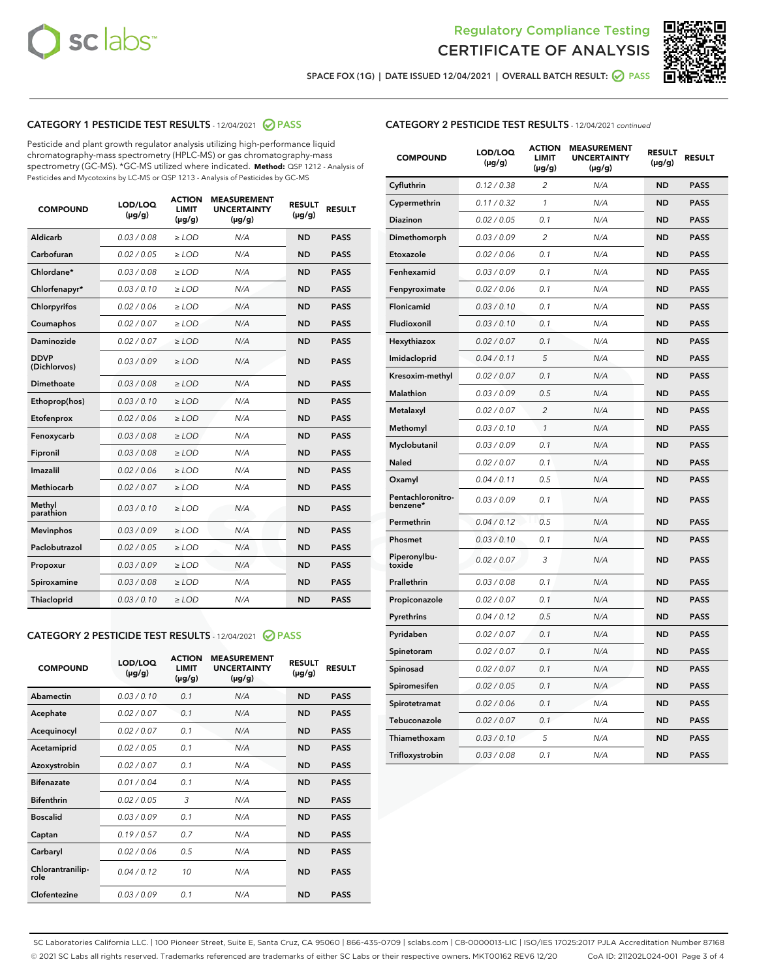



SPACE FOX (1G) | DATE ISSUED 12/04/2021 | OVERALL BATCH RESULT: O PASS

## CATEGORY 1 PESTICIDE TEST RESULTS - 12/04/2021 2 PASS

Pesticide and plant growth regulator analysis utilizing high-performance liquid chromatography-mass spectrometry (HPLC-MS) or gas chromatography-mass spectrometry (GC-MS). \*GC-MS utilized where indicated. **Method:** QSP 1212 - Analysis of Pesticides and Mycotoxins by LC-MS or QSP 1213 - Analysis of Pesticides by GC-MS

| <b>COMPOUND</b>             | LOD/LOQ<br>$(\mu g/g)$ | <b>ACTION</b><br><b>LIMIT</b><br>$(\mu g/g)$ | <b>MEASUREMENT</b><br><b>UNCERTAINTY</b><br>$(\mu g/g)$ | <b>RESULT</b><br>$(\mu g/g)$ | <b>RESULT</b> |
|-----------------------------|------------------------|----------------------------------------------|---------------------------------------------------------|------------------------------|---------------|
| Aldicarb                    | 0.03 / 0.08            | $\ge$ LOD                                    | N/A                                                     | <b>ND</b>                    | <b>PASS</b>   |
| Carbofuran                  | 0.02 / 0.05            | $\ge$ LOD                                    | N/A                                                     | <b>ND</b>                    | <b>PASS</b>   |
| Chlordane*                  | 0.03 / 0.08            | $\ge$ LOD                                    | N/A                                                     | <b>ND</b>                    | <b>PASS</b>   |
| Chlorfenapyr*               | 0.03/0.10              | $\ge$ LOD                                    | N/A                                                     | <b>ND</b>                    | <b>PASS</b>   |
| Chlorpyrifos                | 0.02 / 0.06            | $\ge$ LOD                                    | N/A                                                     | <b>ND</b>                    | <b>PASS</b>   |
| Coumaphos                   | 0.02 / 0.07            | $\ge$ LOD                                    | N/A                                                     | <b>ND</b>                    | <b>PASS</b>   |
| Daminozide                  | 0.02 / 0.07            | $\ge$ LOD                                    | N/A                                                     | <b>ND</b>                    | <b>PASS</b>   |
| <b>DDVP</b><br>(Dichlorvos) | 0.03/0.09              | $>$ LOD                                      | N/A                                                     | <b>ND</b>                    | <b>PASS</b>   |
| Dimethoate                  | 0.03 / 0.08            | $\ge$ LOD                                    | N/A                                                     | <b>ND</b>                    | <b>PASS</b>   |
| Ethoprop(hos)               | 0.03/0.10              | $>$ LOD                                      | N/A                                                     | <b>ND</b>                    | <b>PASS</b>   |
| Etofenprox                  | 0.02 / 0.06            | $\ge$ LOD                                    | N/A                                                     | <b>ND</b>                    | <b>PASS</b>   |
| Fenoxycarb                  | 0.03 / 0.08            | $\ge$ LOD                                    | N/A                                                     | <b>ND</b>                    | <b>PASS</b>   |
| Fipronil                    | 0.03 / 0.08            | $\ge$ LOD                                    | N/A                                                     | <b>ND</b>                    | <b>PASS</b>   |
| Imazalil                    | 0.02 / 0.06            | $>$ LOD                                      | N/A                                                     | <b>ND</b>                    | <b>PASS</b>   |
| <b>Methiocarb</b>           | 0.02 / 0.07            | $\ge$ LOD                                    | N/A                                                     | <b>ND</b>                    | <b>PASS</b>   |
| Methyl<br>parathion         | 0.03/0.10              | $\ge$ LOD                                    | N/A                                                     | <b>ND</b>                    | <b>PASS</b>   |
| <b>Mevinphos</b>            | 0.03/0.09              | $\ge$ LOD                                    | N/A                                                     | <b>ND</b>                    | <b>PASS</b>   |
| Paclobutrazol               | 0.02 / 0.05            | $>$ LOD                                      | N/A                                                     | <b>ND</b>                    | <b>PASS</b>   |
| Propoxur                    | 0.03/0.09              | $\ge$ LOD                                    | N/A                                                     | <b>ND</b>                    | <b>PASS</b>   |
| Spiroxamine                 | 0.03 / 0.08            | $\ge$ LOD                                    | N/A                                                     | <b>ND</b>                    | <b>PASS</b>   |
| Thiacloprid                 | 0.03/0.10              | $\ge$ LOD                                    | N/A                                                     | <b>ND</b>                    | <b>PASS</b>   |

#### CATEGORY 2 PESTICIDE TEST RESULTS - 12/04/2021 @ PASS

| <b>COMPOUND</b>          | LOD/LOO<br>$(\mu g/g)$ | <b>ACTION</b><br>LIMIT<br>$(\mu g/g)$ | <b>MEASUREMENT</b><br><b>UNCERTAINTY</b><br>$(\mu g/g)$ | <b>RESULT</b><br>$(\mu g/g)$ | <b>RESULT</b> |  |
|--------------------------|------------------------|---------------------------------------|---------------------------------------------------------|------------------------------|---------------|--|
| Abamectin                | 0.03/0.10              | 0.1                                   | N/A                                                     | <b>ND</b>                    | <b>PASS</b>   |  |
| Acephate                 | 0.02/0.07              | 0.1                                   | N/A                                                     | <b>ND</b>                    | <b>PASS</b>   |  |
| Acequinocyl              | 0.02/0.07              | 0.1                                   | N/A                                                     | <b>ND</b>                    | <b>PASS</b>   |  |
| Acetamiprid              | 0.02 / 0.05            | 0.1                                   | N/A                                                     | <b>ND</b>                    | <b>PASS</b>   |  |
| Azoxystrobin             | 0.02/0.07              | 0.1                                   | N/A                                                     | <b>ND</b>                    | <b>PASS</b>   |  |
| <b>Bifenazate</b>        | 0.01 / 0.04            | 0.1                                   | N/A                                                     | <b>ND</b>                    | <b>PASS</b>   |  |
| <b>Bifenthrin</b>        | 0.02 / 0.05            | 3                                     | N/A                                                     | <b>ND</b>                    | <b>PASS</b>   |  |
| <b>Boscalid</b>          | 0.03/0.09              | 0.1                                   | N/A                                                     | <b>ND</b>                    | <b>PASS</b>   |  |
| Captan                   | 0.19/0.57              | 0.7                                   | N/A                                                     | <b>ND</b>                    | <b>PASS</b>   |  |
| Carbaryl                 | 0.02/0.06              | 0.5                                   | N/A                                                     | <b>ND</b>                    | <b>PASS</b>   |  |
| Chlorantranilip-<br>role | 0.04/0.12              | 10                                    | N/A                                                     | <b>ND</b>                    | <b>PASS</b>   |  |
| Clofentezine             | 0.03/0.09              | 0.1                                   | N/A                                                     | <b>ND</b>                    | <b>PASS</b>   |  |

| <b>CATEGORY 2 PESTICIDE TEST RESULTS</b> - 12/04/2021 continued |  |
|-----------------------------------------------------------------|--|
|                                                                 |  |

| <b>COMPOUND</b>               | LOD/LOQ<br>(µg/g) | <b>ACTION</b><br><b>LIMIT</b><br>(µg/g) | <b>MEASUREMENT</b><br><b>UNCERTAINTY</b><br>$(\mu g/g)$ | <b>RESULT</b><br>(µg/g) | <b>RESULT</b> |
|-------------------------------|-------------------|-----------------------------------------|---------------------------------------------------------|-------------------------|---------------|
| Cyfluthrin                    | 0.12 / 0.38       | $\overline{c}$                          | N/A                                                     | <b>ND</b>               | <b>PASS</b>   |
| Cypermethrin                  | 0.11 / 0.32       | $\mathcal{I}$                           | N/A                                                     | <b>ND</b>               | <b>PASS</b>   |
| <b>Diazinon</b>               | 0.02 / 0.05       | 0.1                                     | N/A                                                     | <b>ND</b>               | <b>PASS</b>   |
| Dimethomorph                  | 0.03 / 0.09       | 2                                       | N/A                                                     | <b>ND</b>               | <b>PASS</b>   |
| Etoxazole                     | 0.02 / 0.06       | 0.1                                     | N/A                                                     | <b>ND</b>               | <b>PASS</b>   |
| Fenhexamid                    | 0.03 / 0.09       | 0.1                                     | N/A                                                     | <b>ND</b>               | <b>PASS</b>   |
| Fenpyroximate                 | 0.02 / 0.06       | 0.1                                     | N/A                                                     | <b>ND</b>               | <b>PASS</b>   |
| Flonicamid                    | 0.03 / 0.10       | 0.1                                     | N/A                                                     | <b>ND</b>               | <b>PASS</b>   |
| Fludioxonil                   | 0.03/0.10         | 0.1                                     | N/A                                                     | <b>ND</b>               | <b>PASS</b>   |
| Hexythiazox                   | 0.02 / 0.07       | 0.1                                     | N/A                                                     | <b>ND</b>               | <b>PASS</b>   |
| Imidacloprid                  | 0.04 / 0.11       | 5                                       | N/A                                                     | <b>ND</b>               | <b>PASS</b>   |
| Kresoxim-methyl               | 0.02 / 0.07       | 0.1                                     | N/A                                                     | <b>ND</b>               | <b>PASS</b>   |
| <b>Malathion</b>              | 0.03 / 0.09       | 0.5                                     | N/A                                                     | <b>ND</b>               | <b>PASS</b>   |
| Metalaxyl                     | 0.02 / 0.07       | $\overline{c}$                          | N/A                                                     | <b>ND</b>               | <b>PASS</b>   |
| Methomyl                      | 0.03 / 0.10       | 1                                       | N/A                                                     | <b>ND</b>               | <b>PASS</b>   |
| Myclobutanil                  | 0.03 / 0.09       | 0.1                                     | N/A                                                     | <b>ND</b>               | <b>PASS</b>   |
| Naled                         | 0.02 / 0.07       | 0.1                                     | N/A                                                     | <b>ND</b>               | <b>PASS</b>   |
| Oxamyl                        | 0.04 / 0.11       | 0.5                                     | N/A                                                     | <b>ND</b>               | <b>PASS</b>   |
| Pentachloronitro-<br>benzene* | 0.03 / 0.09       | 0.1                                     | N/A                                                     | <b>ND</b>               | <b>PASS</b>   |
| Permethrin                    | 0.04 / 0.12       | 0.5                                     | N/A                                                     | <b>ND</b>               | <b>PASS</b>   |
| Phosmet                       | 0.03 / 0.10       | 0.1                                     | N/A                                                     | <b>ND</b>               | <b>PASS</b>   |
| Piperonylbu-<br>toxide        | 0.02 / 0.07       | 3                                       | N/A                                                     | <b>ND</b>               | <b>PASS</b>   |
| Prallethrin                   | 0.03 / 0.08       | 0.1                                     | N/A                                                     | <b>ND</b>               | <b>PASS</b>   |
| Propiconazole                 | 0.02 / 0.07       | 0.1                                     | N/A                                                     | <b>ND</b>               | <b>PASS</b>   |
| Pyrethrins                    | 0.04 / 0.12       | 0.5                                     | N/A                                                     | <b>ND</b>               | <b>PASS</b>   |
| Pyridaben                     | 0.02 / 0.07       | 0.1                                     | N/A                                                     | <b>ND</b>               | <b>PASS</b>   |
| Spinetoram                    | 0.02 / 0.07       | 0.1                                     | N/A                                                     | <b>ND</b>               | <b>PASS</b>   |
| Spinosad                      | 0.02 / 0.07       | 0.1                                     | N/A                                                     | <b>ND</b>               | <b>PASS</b>   |
| Spiromesifen                  | 0.02 / 0.05       | 0.1                                     | N/A                                                     | <b>ND</b>               | <b>PASS</b>   |
| Spirotetramat                 | 0.02 / 0.06       | 0.1                                     | N/A                                                     | <b>ND</b>               | <b>PASS</b>   |
| Tebuconazole                  | 0.02 / 0.07       | 0.1                                     | N/A                                                     | <b>ND</b>               | <b>PASS</b>   |
| Thiamethoxam                  | 0.03 / 0.10       | 5                                       | N/A                                                     | <b>ND</b>               | <b>PASS</b>   |
| Trifloxystrobin               | 0.03 / 0.08       | 0.1                                     | N/A                                                     | <b>ND</b>               | <b>PASS</b>   |

SC Laboratories California LLC. | 100 Pioneer Street, Suite E, Santa Cruz, CA 95060 | 866-435-0709 | sclabs.com | C8-0000013-LIC | ISO/IES 17025:2017 PJLA Accreditation Number 87168 © 2021 SC Labs all rights reserved. Trademarks referenced are trademarks of either SC Labs or their respective owners. MKT00162 REV6 12/20 CoA ID: 211202L024-001 Page 3 of 4